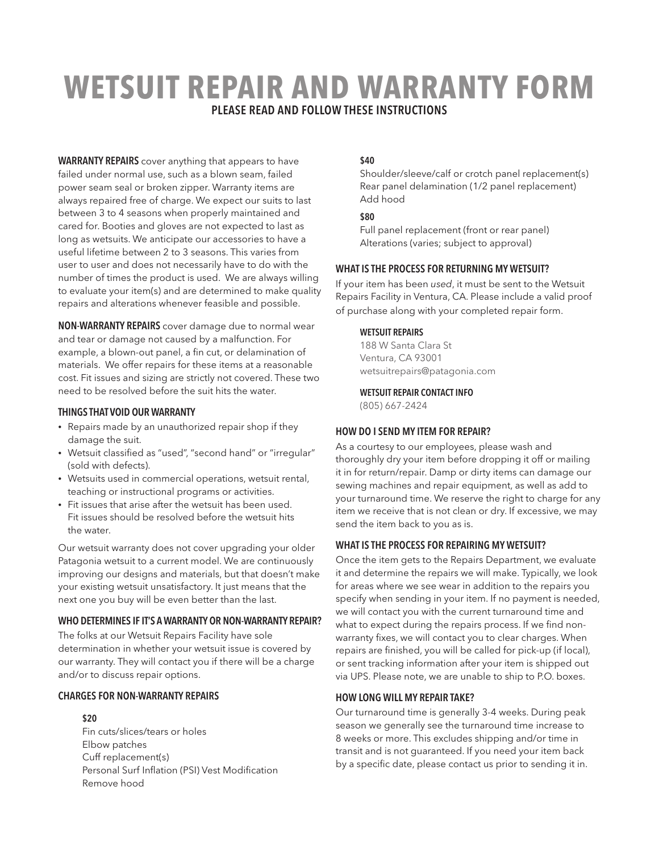# **WETSUIT REPAIR AND WARRANTY FORM** PLEASE READ AND FOLLOW THESE INSTRUCTIONS

WARRANTY REPAIRS cover anything that appears to have failed under normal use, such as a blown seam, failed power seam seal or broken zipper. Warranty items are always repaired free of charge. We expect our suits to last between 3 to 4 seasons when properly maintained and cared for. Booties and gloves are not expected to last as long as wetsuits. We anticipate our accessories to have a useful lifetime between 2 to 3 seasons. This varies from user to user and does not necessarily have to do with the number of times the product is used. We are always willing to evaluate your item(s) and are determined to make quality repairs and alterations whenever feasible and possible.

NON-WARRANTY REPAIRS cover damage due to normal wear and tear or damage not caused by a malfunction. For example, a blown-out panel, a fin cut, or delamination of materials. We offer repairs for these items at a reasonable cost. Fit issues and sizing are strictly not covered. These two need to be resolved before the suit hits the water.

#### THINGS THAT VOID OUR WARRANTY

- Repairs made by an unauthorized repair shop if they damage the suit.
- Wetsuit classified as "used", "second hand" or "irregular" (sold with defects).
- Wetsuits used in commercial operations, wetsuit rental, teaching or instructional programs or activities.
- Fit issues that arise after the wetsuit has been used. Fit issues should be resolved before the wetsuit hits the water.

Our wetsuit warranty does not cover upgrading your older Patagonia wetsuit to a current model. We are continuously improving our designs and materials, but that doesn't make your existing wetsuit unsatisfactory. It just means that the next one you buy will be even better than the last.

#### WHO DETERMINES IF IT'S A WARRANTY OR NON-WARRANTY REPAIR?

The folks at our Wetsuit Repairs Facility have sole determination in whether your wetsuit issue is covered by our warranty. They will contact you if there will be a charge and/or to discuss repair options.

#### CHARGES FOR NON-WARRANTY REPAIRS

\$20

Fin cuts/slices/tears or holes Elbow patches Cuff replacement(s) Personal Surf Inflation (PSI) Vest Modification Remove hood

#### \$40

Shoulder/sleeve/calf or crotch panel replacement(s) Rear panel delamination (1/2 panel replacement) Add hood

#### \$80

Full panel replacement (front or rear panel) Alterations (varies; subject to approval)

#### WHAT IS THE PROCESS FOR RETURNING MY WETSUIT?

If your item has been *used*, it must be sent to the Wetsuit Repairs Facility in Ventura, CA. Please include a valid proof of purchase along with your completed repair form.

#### WETSUIT REPAIRS

188 W Santa Clara St Ventura, CA 93001 wetsuitrepairs@patagonia.com

#### WETSUIT REPAIR CONTACT INFO

(805) 667-2424

#### HOW DO I SEND MY ITEM FOR REPAIR?

As a courtesy to our employees, please wash and thoroughly dry your item before dropping it off or mailing it in for return/repair. Damp or dirty items can damage our sewing machines and repair equipment, as well as add to your turnaround time. We reserve the right to charge for any item we receive that is not clean or dry. If excessive, we may send the item back to you as is.

#### WHAT IS THE PROCESS FOR REPAIRING MY WETSUIT?

Once the item gets to the Repairs Department, we evaluate it and determine the repairs we will make. Typically, we look for areas where we see wear in addition to the repairs you specify when sending in your item. If no payment is needed, we will contact you with the current turnaround time and what to expect during the repairs process. If we find nonwarranty fixes, we will contact you to clear charges. When repairs are finished, you will be called for pick-up (if local), or sent tracking information after your item is shipped out via UPS. Please note, we are unable to ship to P.O. boxes.

#### HOW LONG WILL MY REPAIR TAKE?

Our turnaround time is generally 3-4 weeks. During peak season we generally see the turnaround time increase to 8 weeks or more. This excludes shipping and/or time in transit and is not guaranteed. If you need your item back by a specific date, please contact us prior to sending it in.